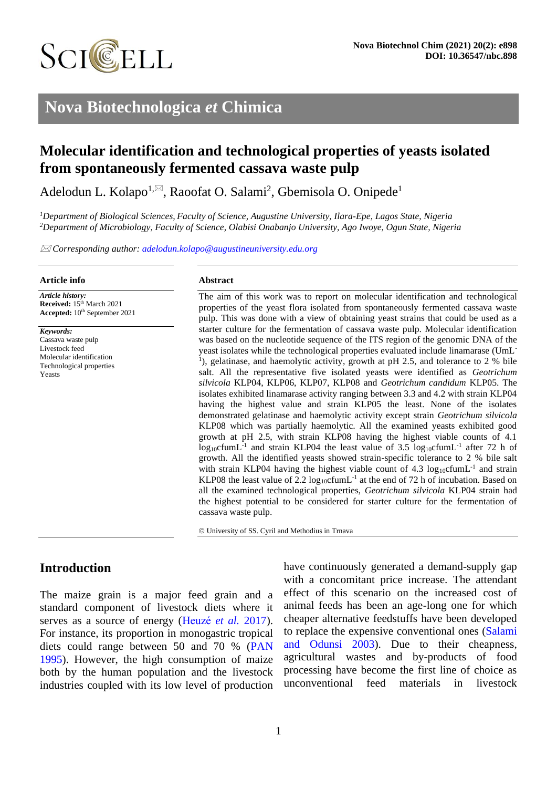

# **Nova Biotechnologica** *et* **Chimica**

# **Molecular identification and technological properties of yeasts isolated from spontaneously fermented cassava waste pulp**

Adelodun L. Kolapo<sup>1,⊠</sup>, Raoofat O. Salami<sup>2</sup>, Gbemisola O. Onipede<sup>1</sup>

*<sup>1</sup>Department of Biological Sciences, Faculty of Science, Augustine University, Ilara-Epe, Lagos State, Nigeria <sup>2</sup>Department of Microbiology, Faculty of Science, Olabisi Onabanjo University, Ago Iwoye, Ogun State, Nigeria*

*Corresponding author: [adelodun.kolapo@augustineuniversity.edu.org](mailto:adelodun.kolapo@augustineuniversity.edu.org)*

#### **Article info**

*Article history:* Received:  $15<sup>th</sup> March 2021$ Accepted:  $10^{\text{th}}$  September 2021

*Keywords:* Cassava waste pulp Livestock feed Molecular identification Technological properties Yeasts

#### **Abstract**

The aim of this work was to report on molecular identification and technological properties of the yeast flora isolated from spontaneously fermented cassava waste pulp. This was done with a view of obtaining yeast strains that could be used as a starter culture for the fermentation of cassava waste pulp. Molecular identification was based on the nucleotide sequence of the ITS region of the genomic DNA of the yeast isolates while the technological properties evaluated include linamarase (UmL-<sup>1</sup>), gelatinase, and haemolytic activity, growth at pH 2.5, and tolerance to 2 % bile salt. All the representative five isolated yeasts were identified as *Geotrichum silvicola* KLP04, KLP06, KLP07, KLP08 and *Geotrichum candidum* KLP05. The isolates exhibited linamarase activity ranging between 3.3 and 4.2 with strain KLP04 having the highest value and strain KLP05 the least. None of the isolates demonstrated gelatinase and haemolytic activity except strain *Geotrichum silvicola* KLP08 which was partially haemolytic. All the examined yeasts exhibited good growth at pH 2.5, with strain KLP08 having the highest viable counts of 4.1  $log_{10}$ cfumL<sup>-1</sup> and strain KLP04 the least value of 3.5  $log_{10}$ cfumL<sup>-1</sup> after 72 h of growth. All the identified yeasts showed strain-specific tolerance to 2 % bile salt with strain KLP04 having the highest viable count of 4.3  $log_{10}$ cfumL<sup>-1</sup> and strain KLP08 the least value of 2.2  $log_{10}$ cfumL<sup>-1</sup> at the end of 72 h of incubation. Based on all the examined technological properties, *Geotrichum silvicola* KLP04 strain had the highest potential to be considered for starter culture for the fermentation of cassava waste pulp.

© University of SS. Cyril and Methodius in Trnava

# **Introduction**

The maize grain is a major feed grain and a standard component of livestock diets where it serves as a source of energy [\(Heuzé](#page-8-0) *et al.* 2017). For instance, its proportion in monogastric tropical diets could range between 50 and 70 % [\(PAN](#page-9-0) [1995\)](#page-9-0). However, the high consumption of maize both by the human population and the livestock industries coupled with its low level of production have continuously generated a demand-supply gap with a concomitant price increase. The attendant effect of this scenario on the increased cost of animal feeds has been an age-long one for which cheaper alternative feedstuffs have been developed to replace the expensive conventional ones [\(Salami](#page-9-1) [and Odunsi 2003\)](#page-9-1). Due to their cheapness, agricultural wastes and by-products of food processing have become the first line of choice as unconventional feed materials in livestock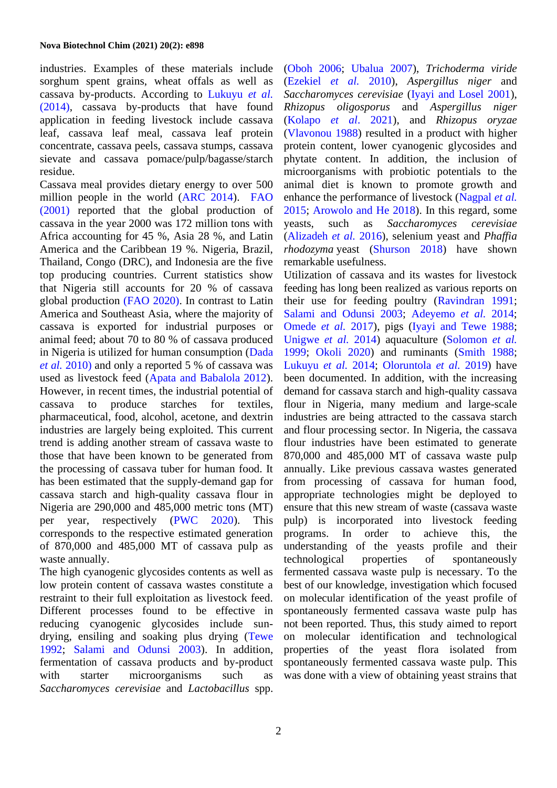industries. Examples of these materials include sorghum spent grains, wheat offals as well as cassava by-products. According to [Lukuyu](#page-8-1) *et al.* [\(2014\),](#page-8-1) cassava by-products that have found application in feeding livestock include cassava leaf, cassava leaf meal, cassava leaf protein concentrate, cassava peels, cassava stumps, cassava sievate and cassava pomace/pulp/bagasse/starch residue.

Cassava meal provides dietary energy to over 500 million people in the world [\(ARC 2014\)](#page-7-0). [FAO](#page-8-2) [\(2001\)](#page-8-2) reported that the global production of cassava in the year 2000 was 172 million tons with Africa accounting for 45 %, Asia 28 %, and Latin America and the Caribbean 19 %. Nigeria, Brazil, Thailand, Congo (DRC), and Indonesia are the five top producing countries. Current statistics show that Nigeria still accounts for 20 % of cassava global production [\(FAO 2020\).](#page-8-3) In contrast to Latin America and Southeast Asia, where the majority of cassava is exported for industrial purposes or animal feed; about 70 to 80 % of cassava produced in Nigeria is utilized for human consumption [\(Dada](#page-8-4) *et al.* [2010\)](#page-8-4) and only a reported 5 % of cassava was used as livestock feed [\(Apata and Babalola 2012\)](#page-7-1). However, in recent times, the industrial potential of cassava to produce starches for textiles, pharmaceutical, food, alcohol, acetone, and dextrin industries are largely being exploited. This current trend is adding another stream of cassava waste to those that have been known to be generated from the processing of cassava tuber for human food. It has been estimated that the supply-demand gap for cassava starch and high-quality cassava flour in Nigeria are 290,000 and 485,000 metric tons (MT) per year, respectively [\(PWC 2020\)](#page-9-2). This corresponds to the respective estimated generation of 870,000 and 485,000 MT of cassava pulp as waste annually.

The high cyanogenic glycosides contents as well as low protein content of cassava wastes constitute a restraint to their full exploitation as livestock feed. Different processes found to be effective in reducing cyanogenic glycosides include sundrying, ensiling and soaking plus drying [\(Tewe](#page-9-3) [1992;](#page-9-3) [Salami and Odunsi 2003\)](#page-9-1). In addition, fermentation of cassava products and by-product with starter microorganisms such as *Saccharomyces cerevisiae* and *Lactobacillus* spp.

[\(Oboh 2006;](#page-8-5) [Ubalua 2007\)](#page-9-4), *Trichoderma viride* [\(Ezekiel](#page-8-6) *et al.* 2010), *Aspergillus niger* and *Saccharomyces cerevisiae* [\(Iyayi and Losel 2001\)](#page-8-7), *Rhizopus oligosporus* and *Aspergillus niger* [\(Kolapo](#page-8-8) *et al*. 2021), and *Rhizopus oryzae* [\(Vlavonou 1988\)](#page-9-5) resulted in a product with higher protein content, lower cyanogenic glycosides and phytate content. In addition, the inclusion of microorganisms with probiotic potentials to the animal diet is known to promote growth and enhance the performance of livestock [\(Nagpal](#page-8-9) *et al.* [2015;](#page-8-9) [Arowolo and He 2018\)](#page-7-2). In this regard, some yeasts, such as *Saccharomyces cerevisiae* [\(Alizadeh](#page-8-10) *et al.* 2016), selenium yeast and *Phaffia rhodozyma* yeast [\(Shurson 2018\)](#page-9-6) have shown remarkable usefulness.

Utilization of cassava and its wastes for livestock feeding has long been realized as various reports on their use for feeding poultry [\(Ravindran 1991;](#page-9-7) [Salami and Odunsi 2003;](#page-9-1) [Adeyemo](#page-7-3) *et al.* 2014; [Omede](#page-8-11) *et al.* 2017), pigs [\(Iyayi and Tewe 1988;](#page-8-12) [Unigwe](#page-9-8) *et al.* 2014) aquaculture [\(Solomon](#page-9-9) *et al.* [1999;](#page-9-9) [Okoli 2020\)](#page-8-10) and ruminants [\(Smith 1988;](#page-9-10) [Lukuyu](#page-8-1) *et al.* 2014; [Oloruntola](#page-8-13) *et al.* 2019) have been documented. In addition, with the increasing demand for cassava starch and high-quality cassava flour in Nigeria, many medium and large-scale industries are being attracted to the cassava starch and flour processing sector. In Nigeria, the cassava flour industries have been estimated to generate 870,000 and 485,000 MT of cassava waste pulp annually. Like previous cassava wastes generated from processing of cassava for human food, appropriate technologies might be deployed to ensure that this new stream of waste (cassava waste pulp) is incorporated into livestock feeding programs. In order to achieve this, the understanding of the yeasts profile and their technological properties of spontaneously fermented cassava waste pulp is necessary. To the best of our knowledge, investigation which focused on molecular identification of the yeast profile of spontaneously fermented cassava waste pulp has not been reported. Thus, this study aimed to report on molecular identification and technological properties of the yeast flora isolated from spontaneously fermented cassava waste pulp. This was done with a view of obtaining yeast strains that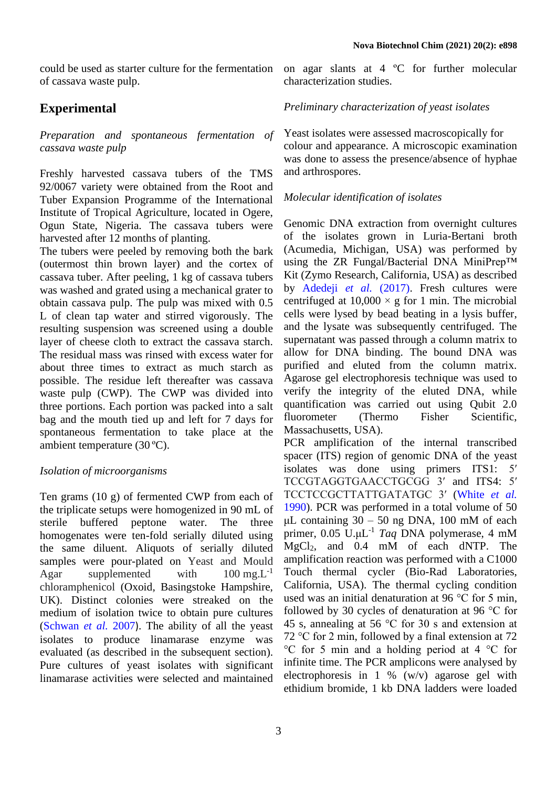could be used as starter culture for the fermentation of cassava waste pulp.

# **Experimental**

*Preparation and spontaneous fermentation of cassava waste pulp*

Freshly harvested cassava tubers of the TMS 92/0067 variety were obtained from the Root and Tuber Expansion Programme of the International Institute of Tropical Agriculture, located in Ogere, Ogun State, Nigeria. The cassava tubers were harvested after 12 months of planting.

The tubers were peeled by removing both the bark (outermost thin brown layer) and the cortex of cassava tuber. After peeling, 1 kg of cassava tubers was washed and grated using a mechanical grater to obtain cassava pulp. The pulp was mixed with 0.5 L of clean tap water and stirred vigorously. The resulting suspension was screened using a double layer of cheese cloth to extract the cassava starch. The residual mass was rinsed with excess water for about three times to extract as much starch as possible. The residue left thereafter was cassava waste pulp (CWP). The CWP was divided into three portions. Each portion was packed into a salt bag and the mouth tied up and left for 7 days for spontaneous fermentation to take place at the ambient temperature (30 ºC).

### *Isolation of microorganisms*

Ten grams (10 g) of fermented CWP from each of the triplicate setups were homogenized in 90 mL of sterile buffered peptone water. The three homogenates were ten-fold serially diluted using the same diluent. Aliquots of serially diluted samples were pour-plated on Yeast and Mould Agar supplemented with  $100 \text{ mg}$ . $L^{-1}$ chloramphenicol (Oxoid, Basingstoke Hampshire, UK). Distinct colonies were streaked on the medium of isolation twice to obtain pure cultures [\(Schwan](#page-9-11) *et al.* 2007). The ability of all the yeast isolates to produce linamarase enzyme was evaluated (as described in the subsequent section). Pure cultures of yeast isolates with significant linamarase activities were selected and maintained

on agar slants at 4 ºC for further molecular characterization studies.

#### *Preliminary characterization of yeast isolates*

Yeast isolates were assessed macroscopically for colour and appearance. A microscopic examination was done to assess the presence/absence of hyphae and arthrospores.

#### *Molecular identification of isolates*

Genomic DNA extraction from overnight cultures of the isolates grown in Luria-Bertani broth (Acumedia, Michigan, USA) was performed by using the ZR Fungal/Bacterial DNA MiniPrep<sup>TM</sup> Kit (Zymo Research, California, USA) as described by [Adedeji](#page-7-4) *et al.* (2017). Fresh cultures were centrifuged at  $10,000 \times g$  for 1 min. The microbial cells were lysed by bead beating in a lysis buffer, and the lysate was subsequently centrifuged. The supernatant was passed through a column matrix to allow for DNA binding. The bound DNA was purified and eluted from the column matrix. Agarose gel electrophoresis technique was used to verify the integrity of the eluted DNA, while quantification was carried out using Qubit 2.0 fluorometer (Thermo Fisher Scientific, Massachusetts, USA).

PCR amplification of the internal transcribed spacer (ITS) region of genomic DNA of the yeast isolates was done using primers ITS1: 5′ TCCGTAGGTGAACCTGCGG 3′ and ITS4: 5′ TCCTCCGCTTATTGATATGC 3′ [\(White](#page-9-12) *et al.* [1990\)](#page-9-12). PCR was performed in a total volume of 50 μL containing  $30 - 50$  ng DNA, 100 mM of each primer, 0.05 U.μL -1 *Taq* DNA polymerase, 4 mM MgCl2, and 0.4 mM of each dNTP. The amplification reaction was performed with a C1000 Touch thermal cycler (Bio-Rad Laboratories, California, USA). The thermal cycling condition used was an initial denaturation at 96 °C for 5 min, followed by 30 cycles of denaturation at 96 °C for 45 s, annealing at 56 °C for 30 s and extension at 72 °C for 2 min, followed by a final extension at 72 °C for 5 min and a holding period at 4 °C for infinite time. The PCR amplicons were analysed by electrophoresis in 1 % (w/v) agarose gel with ethidium bromide, 1 kb DNA ladders were loaded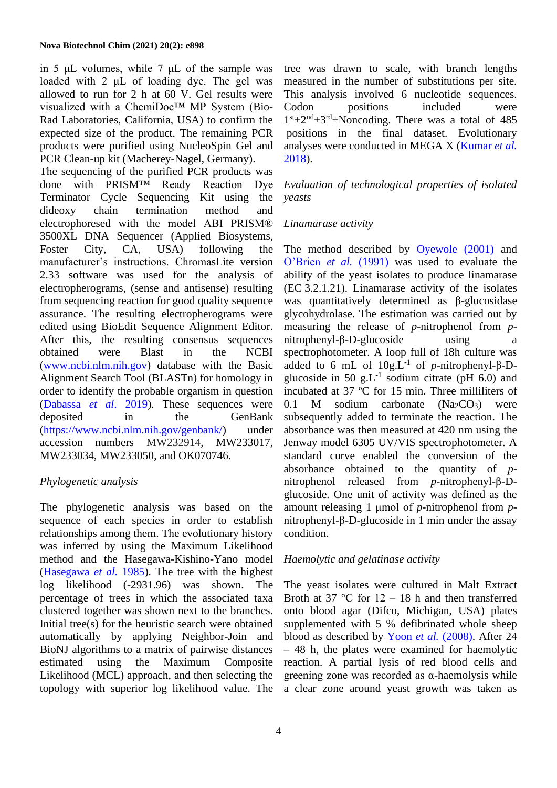in 5 μL volumes, while 7 μL of the sample was loaded with 2 μL of loading dye. The gel was allowed to run for 2 h at 60 V. Gel results were visualized with a ChemiDoc™ MP System (Bio-Rad Laboratories, California, USA) to confirm the expected size of the product. The remaining PCR products were purified using NucleoSpin Gel and PCR Clean-up kit (Macherey-Nagel, Germany).

The sequencing of the purified PCR products was done with PRISM™ Ready Reaction Dye Terminator Cycle Sequencing Kit using the dideoxy chain termination method and electrophoresed with the model ABI PRISM® 3500XL DNA Sequencer (Applied Biosystems, Foster City, CA, USA) following the manufacturer's instructions. ChromasLite version 2.33 software was used for the analysis of electropherograms, (sense and antisense) resulting from sequencing reaction for good quality sequence assurance. The resulting electropherograms were edited using BioEdit Sequence Alignment Editor. After this, the resulting consensus sequences obtained were Blast in the NCBI [\(www.ncbi.nlm.nih.gov\)](http://www.ncbi.nlm.nih.gov/) database with the Basic Alignment Search Tool (BLASTn) for homology in order to identify the probable organism in question [\(Dabassa](#page-8-14) *et al*. 2019). These sequences were deposited in the GenBank [\(https://www.ncbi.nlm.nih.gov/genbank/\)](https://www.ncbi.nlm.nih.gov/genbank/) under accession numbers MW232914, MW233017, MW233034, MW233050, and OK070746.

## *Phylogenetic analysis*

The phylogenetic analysis was based on the sequence of each species in order to establish relationships among them. The evolutionary history was inferred by using the Maximum Likelihood method and the Hasegawa-Kishino-Yano model [\(Hasegawa](#page-8-15) *et al.* 1985). The tree with the highest log likelihood (-2931.96) was shown. The percentage of trees in which the associated taxa clustered together was shown next to the branches. Initial tree(s) for the heuristic search were obtained automatically by applying Neighbor-Join and BioNJ algorithms to a matrix of pairwise distances estimated using the Maximum Composite Likelihood (MCL) approach, and then selecting the topology with superior log likelihood value. The

tree was drawn to scale, with branch lengths measured in the number of substitutions per site. This analysis involved 6 nucleotide sequences. Codon positions included were  $1<sup>st</sup>+2<sup>nd</sup>+3<sup>rd</sup>+Noncoding. There was a total of 485$ positions in the final dataset. Evolutionary analyses were conducted in MEGA X [\(Kumar](#page-8-16) *et al.* [2018\)](#page-8-16).

*Evaluation of technological properties of isolated yeasts*

# *Linamarase activity*

The method described by [Oyewole \(2001\)](#page-8-17) and [O'Brien](#page-8-18) *et al.* (1991) was used to evaluate the ability of the yeast isolates to produce linamarase (EC 3.2.1.21). Linamarase activity of the isolates was quantitatively determined as β-glucosidase glycohydrolase. The estimation was carried out by measuring the release of *p*-nitrophenol from *p*nitrophenyl-β-D-glucoside using a spectrophotometer. A loop full of 18h culture was added to 6 mL of  $10g.L^{-1}$  of *p*-nitrophenyl-β-Dglucoside in 50 g.L<sup>-1</sup> sodium citrate (pH 6.0) and incubated at 37 ºC for 15 min. Three milliliters of 0.1 M sodium carbonate  $(Na_2CO_3)$  were subsequently added to terminate the reaction. The absorbance was then measured at 420 nm using the Jenway model 6305 UV/VIS spectrophotometer. A standard curve enabled the conversion of the absorbance obtained to the quantity of *p*nitrophenol released from *p*-nitrophenyl-β-Dglucoside. One unit of activity was defined as the amount releasing 1 μmol of *p*-nitrophenol from *p*nitrophenyl-β-D-glucoside in 1 min under the assay condition.

## *Haemolytic and gelatinase activity*

The yeast isolates were cultured in Malt Extract Broth at 37  $\degree$ C for 12 – 18 h and then transferred onto blood agar (Difco, Michigan, USA) plates supplemented with 5 % defibrinated whole sheep blood as described by Yoon *et al.* [\(2008\).](#page-9-13) After 24 – 48 h, the plates were examined for haemolytic reaction. A partial lysis of red blood cells and greening zone was recorded as α-haemolysis while a clear zone around yeast growth was taken as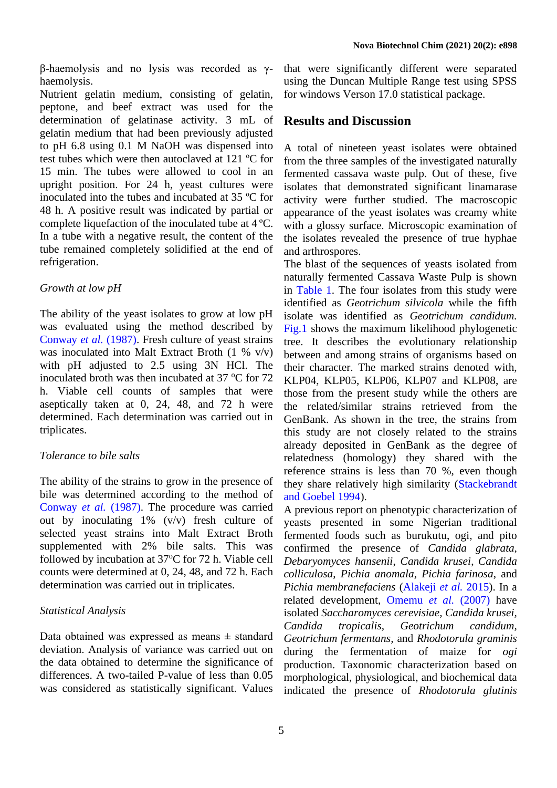β-haemolysis and no lysis was recorded as γhaemolysis.

Nutrient gelatin medium, consisting of gelatin, peptone, and beef extract was used for the determination of gelatinase activity. 3 mL of gelatin medium that had been previously adjusted to pH 6.8 using 0.1 M NaOH was dispensed into test tubes which were then autoclaved at 121 ºC for 15 min. The tubes were allowed to cool in an upright position. For 24 h, yeast cultures were inoculated into the tubes and incubated at 35 ºC for 48 h. A positive result was indicated by partial or complete liquefaction of the inoculated tube at 4 ºC. In a tube with a negative result, the content of the tube remained completely solidified at the end of refrigeration.

#### *Growth at low pH*

The ability of the yeast isolates to grow at low pH was evaluated using the method described by [Conway](#page-8-19) *et al.* (1987). Fresh culture of yeast strains was inoculated into Malt Extract Broth (1 % v/v) with pH adjusted to 2.5 using 3N HCl. The inoculated broth was then incubated at  $37 \degree$ C for  $72$ h. Viable cell counts of samples that were aseptically taken at 0, 24, 48, and 72 h were determined. Each determination was carried out in triplicates.

### *Tolerance to bile salts*

The ability of the strains to grow in the presence of bile was determined according to the method of [Conway](#page-8-19) *et al.* (1987). The procedure was carried out by inoculating 1% (v/v) fresh culture of selected yeast strains into Malt Extract Broth supplemented with 2% bile salts. This was followed by incubation at  $37^{\circ}$ C for 72 h. Viable cell counts were determined at 0, 24, 48, and 72 h. Each determination was carried out in triplicates.

### *Statistical Analysis*

Data obtained was expressed as means  $\pm$  standard deviation. Analysis of variance was carried out on the data obtained to determine the significance of differences. A two-tailed P-value of less than 0.05 was considered as statistically significant. Values that were significantly different were separated using the Duncan Multiple Range test using SPSS for windows Verson 17.0 statistical package.

# **Results and Discussion**

A total of nineteen yeast isolates were obtained from the three samples of the investigated naturally fermented cassava waste pulp. Out of these, five isolates that demonstrated significant linamarase activity were further studied. The macroscopic appearance of the yeast isolates was creamy white with a glossy surface. Microscopic examination of the isolates revealed the presence of true hyphae and arthrospores.

The blast of the sequences of yeasts isolated from naturally fermented Cassava Waste Pulp is shown in [Table 1.](#page-5-0) The four isolates from this study were identified as *Geotrichum silvicola* while the fifth isolate was identified as *Geotrichum candidum.* [Fig.1](#page-5-1) shows the maximum likelihood phylogenetic tree. It describes the evolutionary relationship between and among strains of organisms based on their character. The marked strains denoted with, KLP04, KLP05, KLP06, KLP07 and KLP08, are those from the present study while the others are the related/similar strains retrieved from the GenBank. As shown in the tree, the strains from this study are not closely related to the strains already deposited in GenBank as the degree of relatedness (homology) they shared with the reference strains is less than 70 %, even though they share relatively high similarity [\(Stackebrandt](#page-9-14) [and Goebel 1994\)](#page-9-14).

A previous report on phenotypic characterization of yeasts presented in some Nigerian traditional fermented foods such as burukutu, ogi, and pito confirmed the presence of *Candida glabrata, Debaryomyces hansenii*, *Candida krusei*, *Candida colliculosa*, *Pichia anomala*, *Pichia farinosa*, and *Pichia membranefaciens* [\(Alakeji](#page-7-5) *et al.* 2015). In a related development, [Omemu](#page-8-20) *et al.* (2007) have isolated *Saccharomyces cerevisiae, Candida krusei, Candida tropicalis, Geotrichum candidum, Geotrichum fermentans,* and *Rhodotorula graminis*  during the fermentation of maize for *ogi*  production. Taxonomic characterization based on morphological, physiological, and biochemical data indicated the presence of *Rhodotorula glutinis*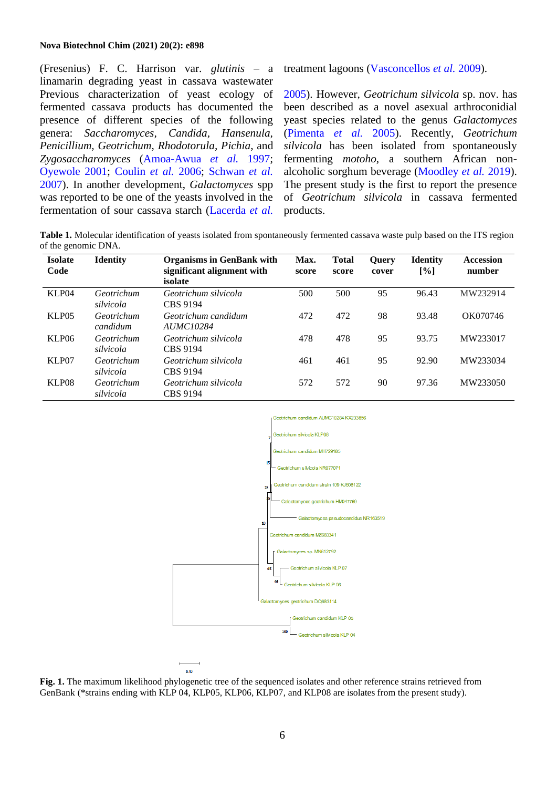#### **Nova Biotechnol Chim (2021) 20(2): e898**

(Fresenius) F. C. Harrison var. *glutinis* – a linamarin degrading yeast in cassava wastewater Previous characterization of yeast ecology of fermented cassava products has documented the presence of different species of the following genera: *Saccharomyces, Candida, Hansenula, Penicillium, Geotrichum, Rhodotorula, Pichia*, and *Zygosaccharomyces* [\(Amoa-Awua](#page-7-6) *et al.* 1997; [Oyewole 2001;](#page-8-17) [Coulin](#page-8-21) *et al.* 2006; [Schwan](#page-9-11) *et al.* [2007\)](#page-9-11). In another development, *Galactomyces* spp was reported to be one of the yeasts involved in the fermentation of sour cassava starch [\(Lacerda](#page-8-22) *et al.*

treatment lagoons [\(Vasconcellos](#page-9-15) *et al.* 2009).

[2005\)](#page-8-22). However, *Geotrichum silvicola* sp. nov. has been described as a novel asexual arthroconidial yeast species related to the genus *Galactomyces*  [\(Pimenta](#page-9-16) *et al.* 2005). Recently, *Geotrichum silvicola* has been isolated from spontaneously fermenting *motoho*, a southern African nonalcoholic sorghum beverage [\(Moodley](#page-8-23) *et al.* 2019). The present study is the first to report the presence of *Geotrichum silvicola* in cassava fermented products.

<span id="page-5-0"></span>**Table 1.** Molecular identification of yeasts isolated from spontaneously fermented cassava waste pulp based on the ITS region of the genomic DNA.

| <b>Isolate</b><br>Code | <b>Identity</b>         | <b>Organisms in GenBank with</b><br>significant alignment with<br>isolate | Max.<br>score | <b>Total</b><br>score | <b>Ouery</b><br>cover | <b>Identity</b><br>$\lceil \% \rceil$ | <b>Accession</b><br>number |
|------------------------|-------------------------|---------------------------------------------------------------------------|---------------|-----------------------|-----------------------|---------------------------------------|----------------------------|
| KLP04                  | Geotrichum<br>silvicola | Geotrichum silvicola<br>CBS 9194                                          | 500           | 500                   | 95                    | 96.43                                 | MW232914                   |
| KLP <sub>05</sub>      | Geotrichum<br>candidum  | Geotrichum candidum<br>AUMC10284                                          | 472           | 472                   | 98                    | 93.48                                 | OK070746                   |
| KLP <sub>06</sub>      | Geotrichum<br>silvicola | Geotrichum silvicola<br>CBS 9194                                          | 478           | 478                   | 95                    | 93.75                                 | MW233017                   |
| KLP07                  | Geotrichum<br>silvicola | Geotrichum silvicola<br>CBS 9194                                          | 461           | 461                   | 95                    | 92.90                                 | MW233034                   |
| KLP08                  | Geotrichum<br>silvicola | Geotrichum silvicola<br>CBS 9194                                          | 572           | 572                   | 90                    | 97.36                                 | MW233050                   |



<span id="page-5-1"></span>**Fig. 1.** The maximum likelihood phylogenetic tree of the sequenced isolates and other reference strains retrieved from GenBank (\*strains ending with KLP 04, KLP05, KLP06, KLP07, and KLP08 are isolates from the present study).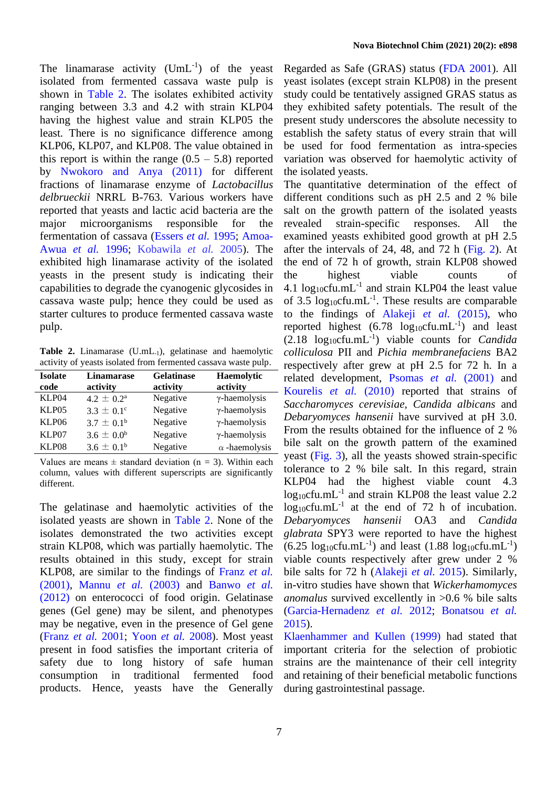The linamarase activity  $(UmL^{-1})$  of the yeast isolated from fermented cassava waste pulp is shown in [Table 2.](#page-6-0) The isolates exhibited activity ranging between 3.3 and 4.2 with strain KLP04 having the highest value and strain KLP05 the least. There is no significance difference among KLP06, KLP07, and KLP08. The value obtained in this report is within the range  $(0.5 - 5.8)$  reported by [Nwokoro and Anya \(2011\)](#page-8-24) for different fractions of linamarase enzyme of *Lactobacillus delbrueckii* NRRL B-763. Various workers have reported that yeasts and lactic acid bacteria are the major microorganisms responsible for the fermentation of cassava [\(Essers](#page-8-25) *et al.* 1995; [Amoa-](#page-7-7)[Awua](#page-7-7) *et al.* 1996; Kobawila *et al.* 2005). The exhibited high linamarase activity of the isolated yeasts in the present study is indicating their capabilities to degrade the cyanogenic glycosides in cassava waste pulp; hence they could be used as starter cultures to produce fermented cassava waste pulp.

<span id="page-6-0"></span>Table 2. Linamarase (U.mL<sub>-1</sub>), gelatinase and haemolytic activity of yeasts isolated from fermented cassava waste pulp.

| <b>Isolate</b><br>code | <b>Linamarase</b><br>activity | <b>Gelatinase</b><br>activity | Haemolytic<br>activity |
|------------------------|-------------------------------|-------------------------------|------------------------|
| KLP04                  | $4.2 \pm 0.2^{\text{a}}$      | Negative                      | $\gamma$ -haemolysis   |
| KLP <sub>05</sub>      | $3.3 \pm 0.1^{\circ}$         | Negative                      | $\gamma$ -haemolysis   |
| KLP06                  | $3.7 \pm 0.1^{\rm b}$         | Negative                      | $\gamma$ -haemolysis   |
| KLP07                  | $3.6 \pm 0.0^b$               | Negative                      | $\gamma$ -haemolysis   |
| KLP08                  | $3.6 \pm 0.1^{\rm b}$         | Negative                      | $\alpha$ -haemolysis   |

Values are means  $\pm$  standard deviation (n = 3). Within each column, values with different superscripts are significantly different.

The gelatinase and haemolytic activities of the isolated yeasts are shown in [Table 2.](#page-6-0) None of the isolates demonstrated the two activities except strain KLP08, which was partially haemolytic. The results obtained in this study, except for strain KLP08, are similar to the findings of [Franz](#page-8-26) *et al.* [\(2001\),](#page-8-26) [Mannu](#page-8-27) *et al.* (2003) and [Banwo](#page-7-8) *et al.* [\(2012\)](#page-7-8) on enterococci of food origin. Gelatinase genes (Gel gene) may be silent, and phenotypes may be negative, even in the presence of Gel gene [\(Franz](#page-8-26) *et al.* 2001; [Yoon](#page-9-13) *et al.* 2008). Most yeast present in food satisfies the important criteria of safety due to long history of safe human consumption in traditional fermented food products. Hence, yeasts have the Generally

Regarded as Safe (GRAS) status [\(FDA 2001\)](#page-8-28). All yeast isolates (except strain KLP08) in the present study could be tentatively assigned GRAS status as they exhibited safety potentials. The result of the present study underscores the absolute necessity to establish the safety status of every strain that will be used for food fermentation as intra-species variation was observed for haemolytic activity of the isolated yeasts.

The quantitative determination of the effect of different conditions such as pH 2.5 and 2 % bile salt on the growth pattern of the isolated yeasts revealed strain-specific responses. All the examined yeasts exhibited good growth at pH 2.5 after the intervals of 24, 48, and 72 h  $(Fig. 2)$ . At the end of 72 h of growth, strain KLP08 showed the highest viable counts of 4.1  $log_{10}$ cfu.mL<sup>-1</sup> and strain KLP04 the least value of 3.5  $log_{10}$ cfu.mL<sup>-1</sup>. These results are comparable to the findings of [Alakeji](#page-7-5) *et al.* (2015), who reported highest  $(6.78 \text{ log}_{10} \text{cfu.mL}^{-1})$  and least (2.18 log10cfu.mL -1 ) viable counts for *Candida colliculosa* PII and *Pichia membranefaciens* BA2 respectively after grew at pH 2.5 for 72 h. In a related development, [Psomas](#page-9-17) *et al.* (2001) and [Kourelis](#page-8-29) *et al.* (2010) reported that strains of *Saccharomyces cerevisiae, Candida albicans* and *Debaryomyces hansenii* have survived at pH 3.0. From the results obtained for the influence of 2 % bile salt on the growth pattern of the examined yeast [\(Fig. 3\)](#page-7-10), all the yeasts showed strain-specific tolerance to 2 % bile salt. In this regard, strain KLP04 had the highest viable count 4.3  $log_{10}$ cfu.mL<sup>-1</sup> and strain KLP08 the least value 2.2  $log_{10}$ cfu.mL<sup>-1</sup> at the end of 72 h of incubation. *Debaryomyces hansenii* OA3 and *Candida glabrata* SPY3 were reported to have the highest  $(6.25 \text{ log}_{10} \text{c} \text{fu.mL}^{-1})$  and least  $(1.88 \text{ log}_{10} \text{c} \text{fu.mL}^{-1})$ viable counts respectively after grew under 2 % bile salts for 72 h [\(Alakeji](#page-7-5) *et al.* 2015). Similarly, in-vitro studies have shown that *Wickerhamomyces anomalus* survived excellently in >0.6 % bile salts [\(Garcia-Hernadenz](#page-8-30) *et al.* 2012; [Bonatsou](#page-7-11) *et al.* [2015\)](#page-7-11).

[Klaenhammer and Kullen \(1999\)](#page-8-31) had stated that important criteria for the selection of probiotic strains are the maintenance of their cell integrity and retaining of their beneficial metabolic functions during gastrointestinal passage.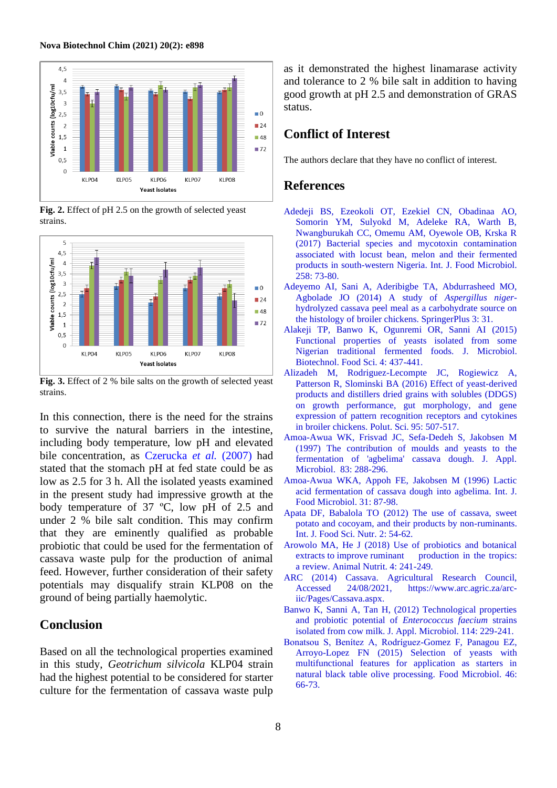

<span id="page-7-9"></span>**Fig. 2.** Effect of pH 2.5 on the growth of selected yeast strains.



<span id="page-7-10"></span>**Fig. 3.** Effect of 2 % bile salts on the growth of selected yeast strains.

In this connection, there is the need for the strains to survive the natural barriers in the intestine, including body temperature, low pH and elevated bile concentration, as [Czerucka](#page-8-32) *et al.* (2007) had stated that the stomach pH at fed state could be as low as 2.5 for 3 h. All the isolated yeasts examined in the present study had impressive growth at the body temperature of 37 ºC, low pH of 2.5 and under 2 % bile salt condition. This may confirm that they are eminently qualified as probable probiotic that could be used for the fermentation of cassava waste pulp for the production of animal feed. However, further consideration of their safety potentials may disqualify strain KLP08 on the ground of being partially haemolytic.

## **Conclusion**

Based on all the technological properties examined in this study, *Geotrichum silvicola* KLP04 strain had the highest potential to be considered for starter culture for the fermentation of cassava waste pulp as it demonstrated the highest linamarase activity and tolerance to 2 % bile salt in addition to having good growth at pH 2.5 and demonstration of GRAS status.

# **Conflict of Interest**

The authors declare that they have no conflict of interest.

#### **References**

- <span id="page-7-4"></span>Adedeji BS, Ezeokoli OT, Ezekiel CN, Obadinaa AO, Somorin YM, Sulyokd M, Adeleke RA, Warth B, Nwangburukah CC, Omemu AM, Oyewole OB, Krska R (2017) Bacterial species and mycotoxin contamination associated with locust bean, melon and their fermented products in south-western Nigeria. Int. J. Food Microbiol. 258: 73-80.
- <span id="page-7-3"></span>Adeyemo AI, Sani A, Aderibigbe TA, Abdurrasheed MO, Agbolade JO (2014) A study of *Aspergillus niger*hydrolyzed cassava peel meal as a carbohydrate source on the histology of broiler chickens. SpringerPlus 3: 31.
- <span id="page-7-5"></span>Alakeji TP, Banwo K, Ogunremi OR, Sanni AI (2015) Functional properties of yeasts isolated from some Nigerian traditional fermented foods. J. Microbiol. Biotechnol. Food Sci. 4: 437-441.
- Alizadeh M, Rodriguez-Lecompte JC, Rogiewicz A, Patterson R, Slominski BA (2016) Effect of yeast-derived products and distillers dried grains with solubles (DDGS) on growth performance, gut morphology, and gene expression of pattern recognition receptors and cytokines in broiler chickens. Polut. Sci. 95: 507-517.
- <span id="page-7-6"></span>Amoa-Awua WK, Frisvad JC, Sefa-Dedeh S, Jakobsen M (1997) The contribution of moulds and yeasts to the fermentation of 'agbelima' cassava dough. J. Appl. Microbiol. 83: 288-296.
- <span id="page-7-7"></span>Amoa-Awua WKA, Appoh FE, Jakobsen M (1996) Lactic acid fermentation of cassava dough into agbelima. Int. J. Food Microbiol. 31: 87-98.
- <span id="page-7-1"></span>Apata DF, Babalola TO (2012) The use of cassava, sweet potato and cocoyam, and their products by non-ruminants. Int. J. Food Sci. Nutr. 2: 54-62.
- <span id="page-7-2"></span>Arowolo MA, He J (2018) Use of probiotics and botanical extracts to improve ruminant production in the tropics: a review. Animal Nutrit. 4: 241-249.
- <span id="page-7-0"></span>ARC (2014) Cassava. Agricultural Research Council, Accessed 24/08/2021, [https://www.arc.agric.za/arc](https://www.arc.agric.za/arc-iic/Pages/Cassava.aspx)[iic/Pages/Cassava.aspx.](https://www.arc.agric.za/arc-iic/Pages/Cassava.aspx)
- <span id="page-7-8"></span>Banwo K, Sanni A, Tan H, (2012) Technological properties and probiotic potential of *Enterococcus faecium* strains isolated from cow milk. J. Appl. Microbiol. 114: 229-241.
- <span id="page-7-11"></span>Bonatsou S, Benítez A, Rodríguez-Gomez F, Panagou EZ, Arroyo-Lopez FN (2015) Selection of yeasts with multifunctional features for application as starters in natural black table olive processing. Food Microbiol. 46: 66-73.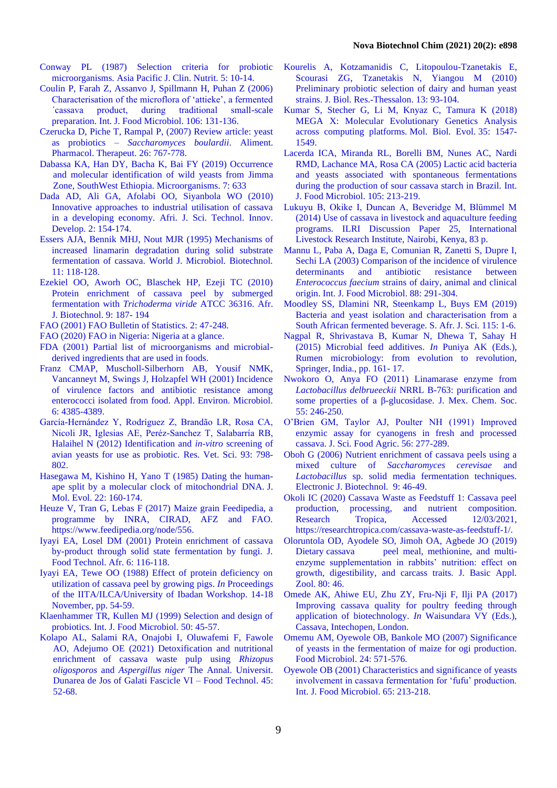- <span id="page-8-19"></span>Conway PL (1987) Selection criteria for probiotic microorganisms. Asia Pacific J. Clin. Nutrit. 5: 10-14.
- <span id="page-8-21"></span>Coulin P, Farah Z, Assanvo J, Spillmann H, Puhan Z (2006) Characterisation of the microflora of 'attieke', a fermented ´cassava product, during traditional small-scale preparation. Int. J. Food Microbiol. 106: 131-136.
- <span id="page-8-32"></span>Czerucka D, Piche T, Rampal P, (2007) Review article: yeast as probiotics – *Saccharomyces boulardii*. Aliment. Pharmacol. Therapeut. 26: 767-778.
- <span id="page-8-14"></span>Dabassa KA, Han DY, Bacha K, Bai FY (2019) Occurrence and molecular identification of wild yeasts from Jimma Zone, SouthWest Ethiopia. Microorganisms. 7: 633
- <span id="page-8-4"></span>Dada AD, Ali GA, Afolabi OO, Siyanbola WO (2010) Innovative approaches to industrial utilisation of cassava in a developing economy. Afri. J. Sci. Technol. Innov. Develop. 2: 154-174.
- <span id="page-8-25"></span>Essers AJA, Bennik MHJ, Nout MJR (1995) Mechanisms of increased linamarin degradation during solid substrate fermentation of cassava. World J. Microbiol. Biotechnol. 11: 118-128.
- <span id="page-8-6"></span>Ezekiel OO, Aworh OC, Blaschek HP, Ezeji TC (2010) Protein enrichment of cassava peel by submerged fermentation with *Trichoderma viride* ATCC 36316. Afr. J. Biotechnol. 9: 187- 194
- <span id="page-8-2"></span>FAO (2001) FAO Bulletin of Statistics. 2: 47-248.
- <span id="page-8-3"></span>FAO (2020) FAO in Nigeria: Nigeria at a glance.
- <span id="page-8-28"></span>FDA (2001) Partial list of microorganisms and microbialderived ingredients that are used in foods.
- <span id="page-8-26"></span>Franz CMAP, Muscholl-Silberhorn AB, Yousif NMK, Vancanneyt M, Swings J, Holzapfel WH (2001) Incidence of virulence factors and antibiotic resistance among enterococci isolated from food. Appl. Environ. Microbiol. 6: 4385-4389.
- <span id="page-8-30"></span>García-Hernández Y, Rodríguez Z, Brandão LR, Rosa CA, Nicoli JR, Iglesias AE, Peréz-Sanchez T, Salabarría RB, Halaihel N (2012) Identification and *in-vitro* screening of avian yeasts for use as probiotic. Res. Vet. Sci. 93: 798- 802.
- <span id="page-8-15"></span>Hasegawa M, Kishino H, Yano T (1985) Dating the humanape split by a molecular clock of mitochondrial DNA. J. Mol. Evol. 22: 160-174.
- <span id="page-8-0"></span>Heuze V, Tran G, Lebas F (2017) Maize grain Feedipedia, a programme by INRA, CIRAD, AFZ and FAO. [https://www.feedipedia.org/node/556.](https://www.feedipedia.org/node/556)
- <span id="page-8-7"></span>Iyayi EA, Losel DM (2001) Protein enrichment of cassava by-product through solid state fermentation by fungi. J. Food Technol. Afr. 6: 116-118.
- <span id="page-8-12"></span>Iyayi EA, Tewe OO (1988) Effect of protein deficiency on utilization of cassava peel by growing pigs. *In* Proceedings of the IITA/ILCA/University of Ibadan Workshop. 14-18 November, pp. 54-59.
- <span id="page-8-31"></span>Klaenhammer TR, Kullen MJ (1999) Selection and design of probiotics*.* Int. J. Food Microbiol. 50: 45-57.
- <span id="page-8-8"></span>Kolapo AL, Salami RA, Onajobi I, Oluwafemi F, Fawole AO, Adejumo OE (2021) Detoxification and nutritional enrichment of cassava waste pulp using *Rhizopus oligosporos* and *Aspergillus niger* The Annal. Universit. Dunarea de Jos of Galati Fascicle VI – Food Technol. 45: 52-68.
- <span id="page-8-29"></span>Kourelis A, Kotzamanidis C, Litopoulou-Tzanetakis E, Scourasi ZG, Tzanetakis N, Yiangou M (2010) Preliminary probiotic selection of dairy and human yeast strains. J. Biol. Res.-Thessalon. 13: 93-104.
- <span id="page-8-16"></span>Kumar S, Stecher G, Li M, Knyaz C, Tamura K (2018) MEGA X: Molecular Evolutionary Genetics Analysis across computing platforms. Mol. Biol. Evol. 35: 1547- 1549.
- <span id="page-8-22"></span>Lacerda ICA, Miranda RL, Borelli BM, Nunes AC, Nardi RMD, Lachance MA, Rosa CA (2005) Lactic acid bacteria and yeasts associated with spontaneous fermentations during the production of sour cassava starch in Brazil. Int. J. Food Microbiol. 105: 213-219.
- <span id="page-8-1"></span>Lukuyu B, Okike I, Duncan A, Beveridge M, Blümmel M (2014) Use of cassava in livestock and aquaculture feeding programs. ILRI Discussion Paper 25, International Livestock Research Institute, Nairobi, Kenya, 83 p.
- <span id="page-8-27"></span>Mannu L, Paba A, Daga E, Comunian R, Zanetti S, Dupre I, Sechi LA (2003) Comparison of the incidence of virulence determinants and antibiotic resistance between *Enterococcus faecium* strains of dairy, animal and clinical origin. Int. J. Food Microbiol. 88: 291-304.
- <span id="page-8-23"></span>Moodley SS, Dlamini NR, Steenkamp L, Buys EM (2019) Bacteria and yeast isolation and characterisation from a South African fermented beverage. S. Afr. J. Sci. 115: 1-6.
- <span id="page-8-9"></span>Nagpal R, Shrivastava B, Kumar N, Dhewa T, Sahay H (2015) Microbial feed additives. *In* Puniya AK (Eds.), Rumen microbiology: from evolution to revolution, Springer, India., pp. 161- 17.
- <span id="page-8-24"></span>Nwokoro O, Anya FO (2011) Linamarase enzyme from *Lactobacillus delbrueeckii* NRRL B-763: purification and some properties of a β-glucosidase. J. Mex. Chem. Soc. 55: 246-250.
- <span id="page-8-18"></span>O'Brien GM, Taylor AJ, Poulter NH (1991) Improved enzymic assay for cyanogens in fresh and processed cassava. J. Sci. Food Agric. 56: 277-289.
- <span id="page-8-5"></span>Oboh G (2006) Nutrient enrichment of cassava peels using a mixed culture of *Saccharomyces cerevisae* and *Lactobacillus* sp. solid media fermentation techniques. Electronic J. Biotechnol. 9: 46-49.
- <span id="page-8-10"></span>Okoli IC (2020) Cassava Waste as Feedstuff 1: Cassava peel production, processing, and nutrient composition. Research Tropica, Accessed 12/03/2021, [https://researchtropica.com/cassava-waste-as-feedstuff-1/.](https://researchtropica.com/cassava-waste-as-feedstuff-1/)
- <span id="page-8-13"></span>Oloruntola OD, Ayodele SO, Jimoh OA, Agbede JO (2019) Dietary cassava peel meal, methionine, and multienzyme supplementation in rabbits' nutrition: effect on growth, digestibility, and carcass traits. J. Basic Appl. Zool. 80: 46.
- <span id="page-8-11"></span>Omede AK, Ahiwe EU, Zhu ZY, Fru-Nji F, Ilji PA (2017) Improving cassava quality for poultry feeding through application of biotechnology. *In* Waisundara VY (Eds.), Cassava, Intechopen, London.
- <span id="page-8-20"></span>Omemu AM, Oyewole OB, Bankole MO (2007) Significance of yeasts in the fermentation of maize for ogi production. Food Microbiol. 24: 571-576.
- <span id="page-8-17"></span>Oyewole OB (2001) Characteristics and significance of yeasts involvement in cassava fermentation for 'fufu' production. Int. J. Food Microbiol. 65: 213-218.